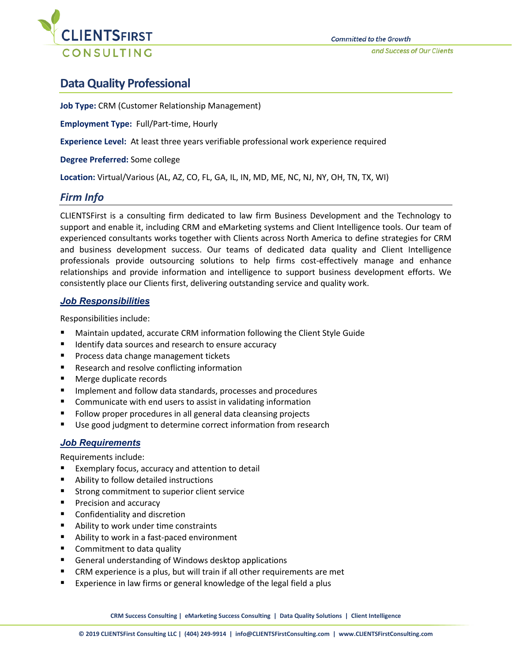

## **Data Quality Professional**

**Job Type:** CRM (Customer Relationship Management)

**Employment Type:** Full/Part-time, Hourly

**Experience Level:** At least three years verifiable professional work experience required

**Degree Preferred:** Some college

**Location:** Virtual/Various (AL, AZ, CO, FL, GA, IL, IN, MD, ME, NC, NJ, NY, OH, TN, TX, WI)

## *Firm Info*

CLIENTSFirst is a consulting firm dedicated to law firm Business Development and the Technology to support and enable it, including CRM and eMarketing systems and Client Intelligence tools. Our team of experienced consultants works together with Clients across North America to define strategies for CRM and business development success. Our teams of dedicated data quality and Client Intelligence professionals provide outsourcing solutions to help firms cost-effectively manage and enhance relationships and provide information and intelligence to support business development efforts. We consistently place our Clients first, delivering outstanding service and quality work.

## *Job Responsibilities*

Responsibilities include:

- Maintain updated, accurate CRM information following the Client Style Guide
- Identify data sources and research to ensure accuracy
- Process data change management tickets
- Research and resolve conflicting information
- Merge duplicate records
- **IMPLEMENTE Implement and follow data standards, processes and procedures**
- Communicate with end users to assist in validating information
- **Follow proper procedures in all general data cleansing projects**
- Use good judgment to determine correct information from research

## *Job Requirements*

Requirements include:

- Exemplary focus, accuracy and attention to detail
- Ability to follow detailed instructions
- **Strong commitment to superior client service**
- **Precision and accuracy**
- **EXECONFEDER** Confidentiality and discretion
- Ability to work under time constraints
- Ability to work in a fast-paced environment
- Commitment to data quality
- General understanding of Windows desktop applications
- CRM experience is a plus, but will train if all other requirements are met
- Experience in law firms or general knowledge of the legal field a plus